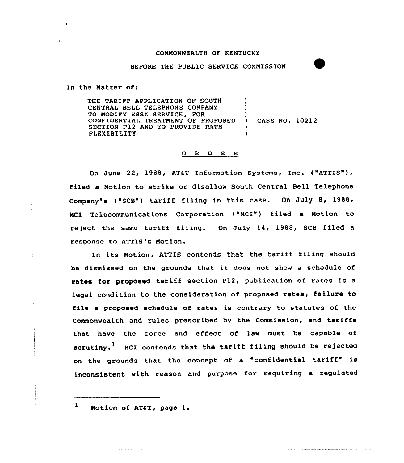## CONNONWEALTH OF KENTUCKY

## BEFORE THE PUBLIC SERVICE CONMISSION

In the Natter of:

المرادي المرابط المرابط

 $\mathbf{r}$ 

THE TARIFF APPLICATION OF SOUTH CENTRAL BELL TELEPHONE COMPANY TQ NODIFY ESSK SERVICE, FOR CONFIDENTIAL TREATNENT OF PROPOSED SECTION P12 AND TO PROVIDE RATE FLEXIBILITY )  $\lambda$ ) CASE NO. 10212 )

## 0 <sup>R</sup> <sup>D</sup> E R

On June 22, 1988, AT&T Information Systems, Inc. ("ATTIS"), filed a Notion to strike or disallow South Central Bell Telephone Company's ("SCB") tariff filing in this case. On July 8, 1988, Telecommunications Corporation ("NCI") filed a Notion to reject the same tariff filing. On July 14, 1988, SCB filed <sup>a</sup> response to ATTIS's Notion.

In its Notion, ATTIS contends that the tariff filing should be dismissed on the grounds that it does not show <sup>a</sup> schedule of rates for proposed tariff section P12, publication of rates is <sup>a</sup> legal condition to the consideration of proposed rates, failure to file a proposed schedule of rates is contrary to statutes of the Commonwealth and rules prescribed by the Commission, and tariffs that have the force and effect of law must be capable of scrutiny.<sup>1</sup> MCI contends that the tariff filing should be rejected on the grounds that the concept of <sup>a</sup> "confidential tariff" is inconsistent with reason and purpose for requiring a regulated

<sup>l</sup> Notion of ATaT, page l.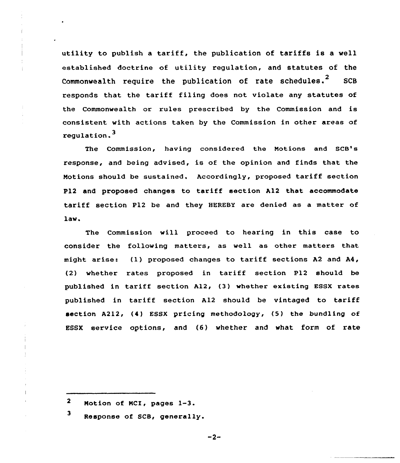utility to publish <sup>a</sup> tariff, the publication of tariffs is a well established doctrine of utility regulation, and statutes of the Commonwealth require the publication of rate schedules.<sup>2</sup> SCB responds that the tariff filing does not violate any statutes of the Commonwealth or rules prescribed by the Commission and is consistent with actions taken by the Commission in other areas of regulation.

The Commission, having considered the Notions and SCB's response, and being advised, is of the opinion and finds that the Notions should be sustained. Accoxdingly, proposed tariff section P12 and proposed changes to tariff section A12 that accommodate tariff section P12 be and they HEREBY are denied as <sup>a</sup> matter of law.

The Commission will proceed to hearing in this case to consider the following matters, as well as other matters that might arise: (1) proposed changes to tariff sections A2 and A4, (2) whether rates proposed in tariff section P12 should be published in tariff section A12, (3) whether existing ESSX rates published in tariff section A12 should be vintaged to tariff section A212, (4) ESSX pricing methodology, (5) the bundling of ESSX service options, and (6) whether and what form of rate

 $-2-$ 

<sup>2</sup> Notion of NCI, pages 1-3.

<sup>3</sup> Response of SCB, generally.